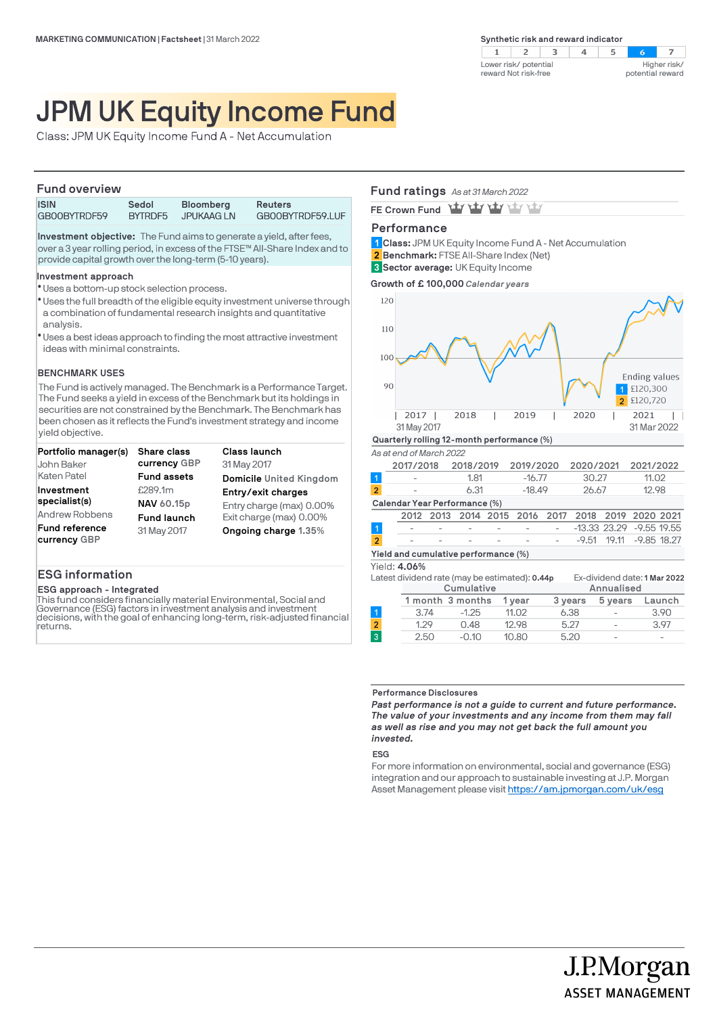

# JPM UK Equity Income Fund

Class: JPM UK Equity Income Fund A - Net Accumulation

#### **Fund overview**

| . <b></b>    |         |                   |                  |
|--------------|---------|-------------------|------------------|
| <b>ISIN</b>  | Sedol   | <b>Bloomberg</b>  | <b>Reuters</b>   |
| GB00BYTRDF59 | BYTRDF5 | <b>JPUKAAG LN</b> | GB00BYTRDF59.LUF |

**Investment objective:** The Fund aims to generate a yield, after fees, over a 3 year rolling period, in excess of the FTSE™ All-Share Index and to provide capital growth over the long-term (5-10 years).

#### **Investment approach**

- Uses a bottom-up stock selection process. l
- \* Uses the full breadth of the eligible equity investment universe through a combination of fundamental research insights and quantitative analysis.
- Uses a best ideas approach to finding the most attractive investment l ideas with minimal constraints.

#### **BENCHMARK USES**

The Fund is actively managed. The Benchmark is a Performance Target. The Fund seeks a yield in excess of the Benchmark but its holdings in securities are not constrained by the Benchmark. The Benchmark has been chosen as it reflects the Fund's investment strategy and income yield objective.

| Portfolio manager(s)                  | <b>Share class</b> | <b>Class launch</b>      |
|---------------------------------------|--------------------|--------------------------|
| John Baker                            | currency GBP       | 31 May 2017              |
| Katen Patel                           | <b>Fund assets</b> | Domicile United Kingdom  |
| Investment                            | £289.1m            | Entry/exit charges       |
| specialist(s)                         | NAV 60.15p         | Entry charge (max) 0.00% |
| Andrew Robbens                        | <b>Fund launch</b> | Exit charge (max) 0.00%  |
| <b>Fund reference</b><br>currency GBP | 31 May 2017        | Ongoing charge 1.35%     |

## **ESG information**

#### **ESG approach - Integrated**

This fund considers financially material Environmental, Social and Governance (ESG) factors in investment analysis and investment decisions, with the goal of enhancing long-term, risk-adjusted financial returns.

### **Fund ratings** *As at 31 March 2022*

FE Crown Fund **Yay Yay Yay Yay** 

# **Performance**

- **Class:** JPM UK Equity Income Fund A Net Accumulation **1 Benchmark:** FTSE All-Share Index (Net) **2**
- **Sector average:** UK Equity Income **3**

**Growth of £ 100,000** *Calendar years*



#### **Performance Disclosures**

*Past performance is not a guide to current and future performance. The value of your investments and any income from them may fall as well as rise and you may not get back the full amount you invested.* 

#### **ESG**

For more information on environmental, social and governance (ESG) integration and our approach to sustainable investing at J.P. Morgan Asset Management please visit https://am.jpmorgan.com/uk/esg

J.P.Morgan

**ASSET MANAGEMENT**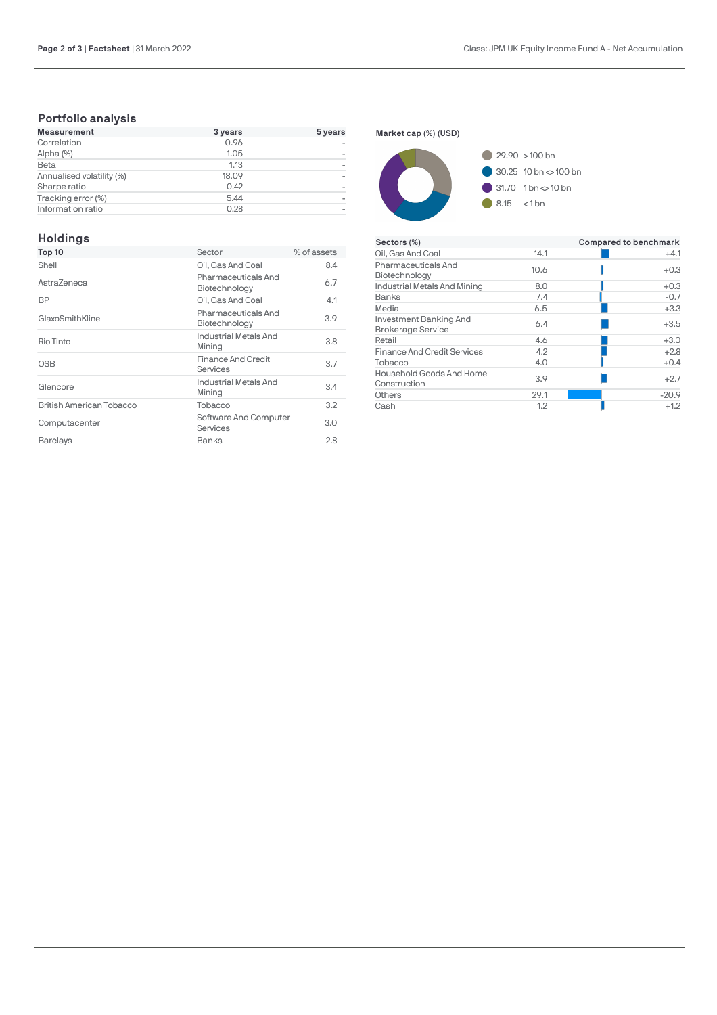# **Portfolio analysis**

| <b>Measurement</b>        | 3 years | 5 years |
|---------------------------|---------|---------|
| Correlation               | 0.96    |         |
| Alpha (%)                 | 1.05    |         |
| Beta                      | 1.13    |         |
| Annualised volatility (%) | 18.09   |         |
| Sharpe ratio              | 0.42    |         |
| Tracking error (%)        | 5.44    |         |
| Information ratio         | 0.28    |         |

# **Holdings**

| Top 10                   | Sector                                | % of assets |
|--------------------------|---------------------------------------|-------------|
| Shell                    | Oil, Gas And Coal                     | 8.4         |
| AstraZeneca              | Pharmaceuticals And<br>Biotechnology  | 6.7         |
| BP                       | Oil, Gas And Coal                     | 4.1         |
| GlaxoSmithKline          | Pharmaceuticals And<br>Biotechnology  | 3.9         |
| Rio Tinto                | Industrial Metals And<br>Mining       | 3.8         |
| <b>OSB</b>               | <b>Finance And Credit</b><br>Services | 3.7         |
| Glencore                 | Industrial Metals And<br>Mining       | 3.4         |
| British American Tobacco | Tobacco                               | 3.2         |
| Computacenter            | Software And Computer<br>Services     | 3.0         |
| Barclays                 | Banks                                 | 2.8         |

**Market cap (%) (USD)**



| Sectors (%)                                        |      | <b>Compared to benchmark</b> |
|----------------------------------------------------|------|------------------------------|
| Oil, Gas And Coal                                  | 14.1 | $+4.1$                       |
| Pharmaceuticals And<br>Biotechnology               | 10.6 | $+0.3$                       |
| Industrial Metals And Mining                       | 8.0  | $+0.3$                       |
| Banks                                              | 7.4  | $-0.7$                       |
| Media                                              | 6.5  | $+3.3$                       |
| Investment Banking And<br><b>Brokerage Service</b> | 6.4  | $+3.5$                       |
| Retail                                             | 4.6  | $+3.0$                       |
| <b>Finance And Credit Services</b>                 | 4.2  | $+2.8$                       |
| Tobacco                                            | 4.0  | $+0.4$                       |
| Household Goods And Home<br>Construction           | 3.9  | $+2.7$                       |
| Others                                             | 29.1 | $-20.9$                      |
| Cash                                               | 1.2  | $+1.2$                       |